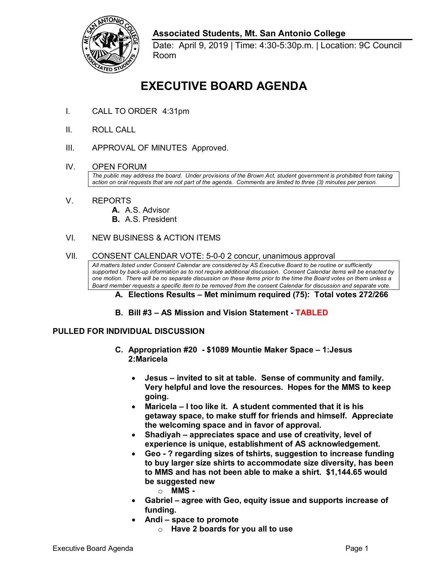

## **Associated Students, Mt. San Antonio College**

Date: April 9, 2019 | Time: 4:30-5:30p.m. | Location: 9C Council Room

# **EXECUTIVE BOARD AGENDA**

- I. CALL TO ORDER 4:31pm
- II. ROLL CALL
- III. APPROVAL OF MINUTES Approved.
- IV. OPEN FORUM

 *action on oral requests that are not part of the agenda. Comments are limited to three (3) minutes per person. The public may address the board. Under provisions of the Brown Act, student government is prohibited from taking* 

- V. REPORTS
	- **A.** A.S. Advisor
	- **B.** A.S. President

#### **NEW BUSINESS & ACTION ITEMS**

# VI. NEW BUSINESS & ACTION ITEMS<br>VII. CONSENT CALENDAR VOTE: 5-0-0 2 concur, unanimous approval

 *All matters listed under Consent Calendar are considered by AS Executive Board to be routine or sufficiently supported by back-up information as to not require additional discussion. Consent Calendar items will be enacted by one motion. There will be no separate discussion on these items prior to the time the Board votes on them unless a Board member requests a specific item to be removed from the consent Calendar for discussion and separate vote.* 

#### **A. Elections Results – Met minimum required (75): Total votes 272/266**

 **B. Bill #3 – AS Mission and Vision Statement - TABLED** 

#### **PULLED FOR INDIVIDUAL DISCUSSION**

- **C. Appropriation #20 - \$1089 Mountie Maker Space 1:Jesus 2:Maricela** 
	- Jesus invited to sit at table. Sense of community and family.  • **Jesus – invited to sit at table. Sense of community and family. Very helpful and love the resources. Hopes for the MMS to keep going.**
	- **Maricela I too like it. A student commented that it is his getaway space, to make stuff for friends and himself. Appreciate the welcoming space and in favor of approval.**
	- **experience is unique, establishment of AS acknowledgement.** • **Shadiyah – appreciates space and use of creativity, level of**
	- **Geo - ? regarding sizes of tshirts, suggestion to increase funding to buy larger size shirts to accommodate size diversity, has been to MMS and has not been able to make a shirt. \$[1,144.65](https://1,144.65) would be suggested new** 
		- o **MMS -**
	- **funding.**  • **Gabriel – agree with Geo, equity issue and supports increase of**
	- **Andi space to promote** 
		- o **Have 2 boards for you all to use**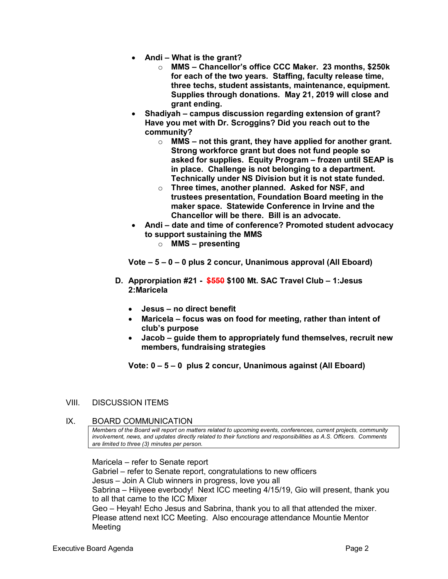- **Andi What is the grant?** 
	- three techs, student assistants, maintenance, equipment.  **three techs, student assistants, maintenance, equipment. Supplies through donations. May 21, 2019 will close and**  o **MMS – Chancellor's office CCC Maker. 23 months, \$250k for each of the two years. Staffing, faculty release time, grant ending.**
- **Shadiyah campus discussion regarding extension of grant? Have you met with Dr. Scroggins? Did you reach out to the community?** 
	- $\circ$  MMS not this grant, they have applied for another grant. in place. Challenge is not belonging to a department.  **in place. Challenge is not belonging to a department. Technically under NS Division but it is not state funded.** Strong workforce grant but does not fund people so **asked for supplies. Equity Program – frozen until SEAP is**
	- **maker space. Statewide Conference in Irvine and the Chancellor will be there. Bill is an advocate.** o **Three times, another planned. Asked for NSF, and trustees presentation, Foundation Board meeting in the**
- **Andi date and time of conference? Promoted student advocacy to support sustaining the MMS** 
	- o **MMS presenting**

 **Vote – 5 – 0 – 0 plus 2 concur, Unanimous approval (All Eboard)** 

- **D. Approrpiation #21 - \$550 \$100 Mt. SAC Travel Club 1:Jesus 2:Maricela** 
	- **Jesus no direct benefit**
	- **Maricela focus was on food for meeting, rather than intent of club's purpose**
	- **Jacob guide them to appropriately fund themselves, recruit new members, fundraising strategies**

 **Vote: 0 – 5 – 0 plus 2 concur, Unanimous against (All Eboard)** 

### VIII. DISCUSSION ITEMS

#### IX. BOARD COMMUNICATION

 *involvement, news, and updates directly related to their functions and responsibilities as A.S. Officers. Comments are limited to three (3) minutes per person. Members of the Board will report on matters related to upcoming events, conferences, current projects, community* 

 Jesus – Join A Club winners in progress, love you all Geo – Heyah! Echo Jesus and Sabrina, thank you to all that attended the mixer. Maricela – refer to Senate report Gabriel – refer to Senate report, congratulations to new officers Sabrina – Hiiyeee everbody! Next ICC meeting 4/15/19, Gio will present, thank you to all that came to the ICC Mixer Please attend next ICC Meeting. Also encourage attendance Mountie Mentor Meeting